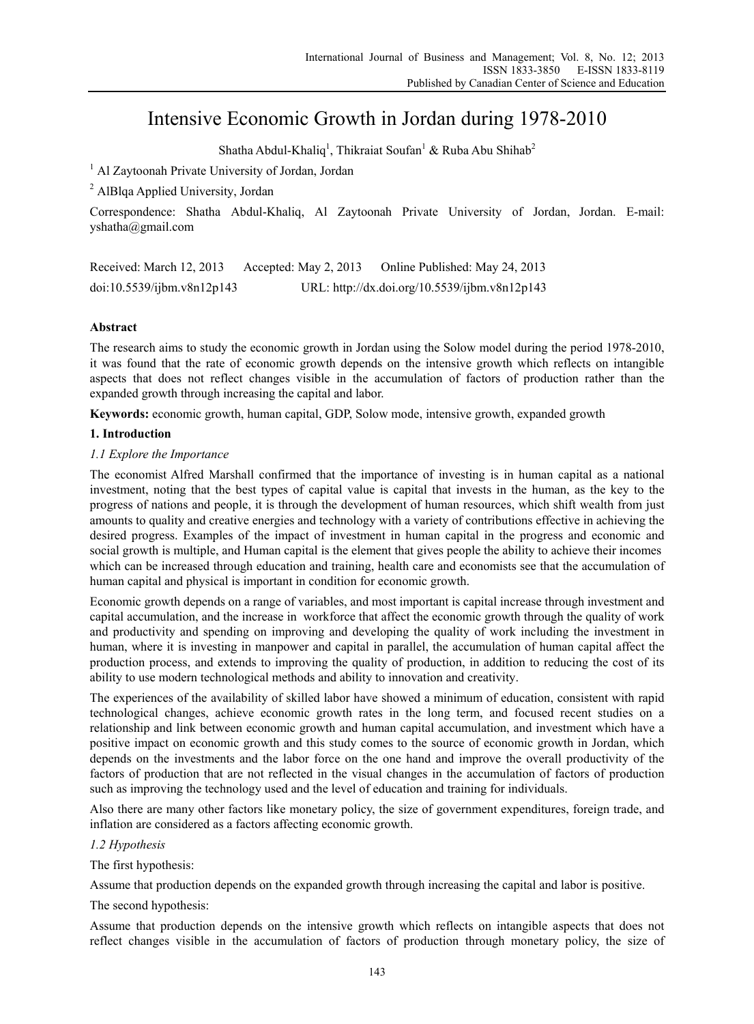# Intensive Economic Growth in Jordan during 1978-2010

Shatha Abdul-Khaliq<sup>1</sup>, Thikraiat Soufan<sup>1</sup> & Ruba Abu Shihab<sup>2</sup>

<sup>1</sup> Al Zaytoonah Private University of Jordan, Jordan

<sup>2</sup> AlBlqa Applied University, Jordan

Correspondence: Shatha Abdul-Khaliq, Al Zaytoonah Private University of Jordan, Jordan. E-mail: yshatha@gmail.com

Received: March 12, 2013 Accepted: May 2, 2013 Online Published: May 24, 2013 doi:10.5539/ijbm.v8n12p143 URL: http://dx.doi.org/10.5539/ijbm.v8n12p143

# **Abstract**

The research aims to study the economic growth in Jordan using the Solow model during the period 1978-2010, it was found that the rate of economic growth depends on the intensive growth which reflects on intangible aspects that does not reflect changes visible in the accumulation of factors of production rather than the expanded growth through increasing the capital and labor.

**Keywords:** economic growth, human capital, GDP, Solow mode, intensive growth, expanded growth

# **1. Introduction**

# *1.1 Explore the Importance*

The economist Alfred Marshall confirmed that the importance of investing is in human capital as a national investment, noting that the best types of capital value is capital that invests in the human, as the key to the progress of nations and people, it is through the development of human resources, which shift wealth from just amounts to quality and creative energies and technology with a variety of contributions effective in achieving the desired progress. Examples of the impact of investment in human capital in the progress and economic and social growth is multiple, and Human capital is the element that gives people the ability to achieve their incomes which can be increased through education and training, health care and economists see that the accumulation of human capital and physical is important in condition for economic growth.

Economic growth depends on a range of variables, and most important is capital increase through investment and capital accumulation, and the increase in workforce that affect the economic growth through the quality of work and productivity and spending on improving and developing the quality of work including the investment in human, where it is investing in manpower and capital in parallel, the accumulation of human capital affect the production process, and extends to improving the quality of production, in addition to reducing the cost of its ability to use modern technological methods and ability to innovation and creativity.

The experiences of the availability of skilled labor have showed a minimum of education, consistent with rapid technological changes, achieve economic growth rates in the long term, and focused recent studies on a relationship and link between economic growth and human capital accumulation, and investment which have a positive impact on economic growth and this study comes to the source of economic growth in Jordan, which depends on the investments and the labor force on the one hand and improve the overall productivity of the factors of production that are not reflected in the visual changes in the accumulation of factors of production such as improving the technology used and the level of education and training for individuals.

Also there are many other factors like monetary policy, the size of government expenditures, foreign trade, and inflation are considered as a factors affecting economic growth.

# *1.2 Hypothesis*

The first hypothesis:

Assume that production depends on the expanded growth through increasing the capital and labor is positive.

The second hypothesis:

Assume that production depends on the intensive growth which reflects on intangible aspects that does not reflect changes visible in the accumulation of factors of production through monetary policy, the size of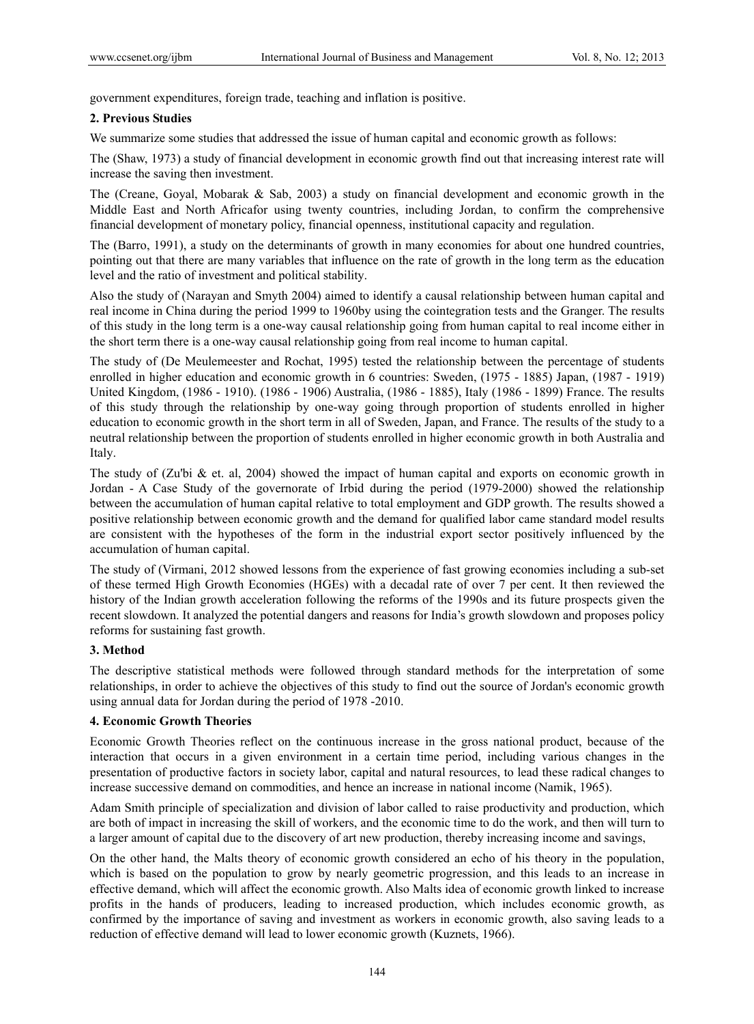government expenditures, foreign trade, teaching and inflation is positive.

# **2. Previous Studies**

We summarize some studies that addressed the issue of human capital and economic growth as follows:

The (Shaw, 1973) a study of financial development in economic growth find out that increasing interest rate will increase the saving then investment.

The (Creane, Goyal, Mobarak & Sab, 2003) a study on financial development and economic growth in the Middle East and North Africafor using twenty countries, including Jordan, to confirm the comprehensive financial development of monetary policy, financial openness, institutional capacity and regulation.

The (Barro, 1991), a study on the determinants of growth in many economies for about one hundred countries, pointing out that there are many variables that influence on the rate of growth in the long term as the education level and the ratio of investment and political stability.

Also the study of (Narayan and Smyth 2004) aimed to identify a causal relationship between human capital and real income in China during the period 1999 to 1960by using the cointegration tests and the Granger. The results of this study in the long term is a one-way causal relationship going from human capital to real income either in the short term there is a one-way causal relationship going from real income to human capital.

The study of (De Meulemeester and Rochat, 1995) tested the relationship between the percentage of students enrolled in higher education and economic growth in 6 countries: Sweden, (1975 - 1885) Japan, (1987 - 1919) United Kingdom, (1986 - 1910). (1986 - 1906) Australia, (1986 - 1885), Italy (1986 - 1899) France. The results of this study through the relationship by one-way going through proportion of students enrolled in higher education to economic growth in the short term in all of Sweden, Japan, and France. The results of the study to a neutral relationship between the proportion of students enrolled in higher economic growth in both Australia and Italy.

The study of (Zu'bi & et. al, 2004) showed the impact of human capital and exports on economic growth in Jordan - A Case Study of the governorate of Irbid during the period (1979-2000) showed the relationship between the accumulation of human capital relative to total employment and GDP growth. The results showed a positive relationship between economic growth and the demand for qualified labor came standard model results are consistent with the hypotheses of the form in the industrial export sector positively influenced by the accumulation of human capital.

The study of (Virmani, 2012 showed lessons from the experience of fast growing economies including a sub-set of these termed High Growth Economies (HGEs) with a decadal rate of over 7 per cent. It then reviewed the history of the Indian growth acceleration following the reforms of the 1990s and its future prospects given the recent slowdown. It analyzed the potential dangers and reasons for India's growth slowdown and proposes policy reforms for sustaining fast growth.

## **3. Method**

The descriptive statistical methods were followed through standard methods for the interpretation of some relationships, in order to achieve the objectives of this study to find out the source of Jordan's economic growth using annual data for Jordan during the period of 1978 -2010.

# **4. Economic Growth Theories**

Economic Growth Theories reflect on the continuous increase in the gross national product, because of the interaction that occurs in a given environment in a certain time period, including various changes in the presentation of productive factors in society labor, capital and natural resources, to lead these radical changes to increase successive demand on commodities, and hence an increase in national income (Namik, 1965).

Adam Smith principle of specialization and division of labor called to raise productivity and production, which are both of impact in increasing the skill of workers, and the economic time to do the work, and then will turn to a larger amount of capital due to the discovery of art new production, thereby increasing income and savings,

On the other hand, the Malts theory of economic growth considered an echo of his theory in the population, which is based on the population to grow by nearly geometric progression, and this leads to an increase in effective demand, which will affect the economic growth. Also Malts idea of economic growth linked to increase profits in the hands of producers, leading to increased production, which includes economic growth, as confirmed by the importance of saving and investment as workers in economic growth, also saving leads to a reduction of effective demand will lead to lower economic growth (Kuznets, 1966).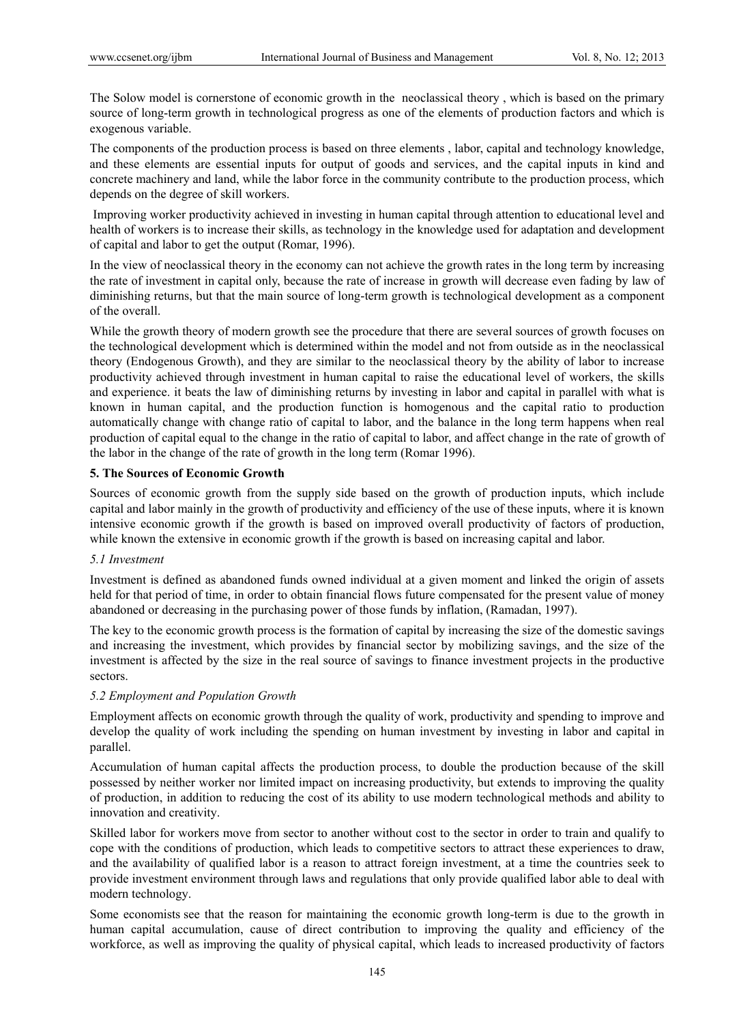The Solow model is cornerstone of economic growth in the neoclassical theory , which is based on the primary source of long-term growth in technological progress as one of the elements of production factors and which is exogenous variable.

The components of the production process is based on three elements , labor, capital and technology knowledge, and these elements are essential inputs for output of goods and services, and the capital inputs in kind and concrete machinery and land, while the labor force in the community contribute to the production process, which depends on the degree of skill workers.

 Improving worker productivity achieved in investing in human capital through attention to educational level and health of workers is to increase their skills, as technology in the knowledge used for adaptation and development of capital and labor to get the output (Romar, 1996).

In the view of neoclassical theory in the economy can not achieve the growth rates in the long term by increasing the rate of investment in capital only, because the rate of increase in growth will decrease even fading by law of diminishing returns, but that the main source of long-term growth is technological development as a component of the overall.

While the growth theory of modern growth see the procedure that there are several sources of growth focuses on the technological development which is determined within the model and not from outside as in the neoclassical theory (Endogenous Growth), and they are similar to the neoclassical theory by the ability of labor to increase productivity achieved through investment in human capital to raise the educational level of workers, the skills and experience. it beats the law of diminishing returns by investing in labor and capital in parallel with what is known in human capital, and the production function is homogenous and the capital ratio to production automatically change with change ratio of capital to labor, and the balance in the long term happens when real production of capital equal to the change in the ratio of capital to labor, and affect change in the rate of growth of the labor in the change of the rate of growth in the long term (Romar 1996).

## **5. The Sources of Economic Growth**

Sources of economic growth from the supply side based on the growth of production inputs, which include capital and labor mainly in the growth of productivity and efficiency of the use of these inputs, where it is known intensive economic growth if the growth is based on improved overall productivity of factors of production, while known the extensive in economic growth if the growth is based on increasing capital and labor.

## *5.1 Investment*

Investment is defined as abandoned funds owned individual at a given moment and linked the origin of assets held for that period of time, in order to obtain financial flows future compensated for the present value of money abandoned or decreasing in the purchasing power of those funds by inflation, (Ramadan, 1997).

The key to the economic growth process is the formation of capital by increasing the size of the domestic savings and increasing the investment, which provides by financial sector by mobilizing savings, and the size of the investment is affected by the size in the real source of savings to finance investment projects in the productive sectors.

## *5.2 Employment and Population Growth*

Employment affects on economic growth through the quality of work, productivity and spending to improve and develop the quality of work including the spending on human investment by investing in labor and capital in parallel.

Accumulation of human capital affects the production process, to double the production because of the skill possessed by neither worker nor limited impact on increasing productivity, but extends to improving the quality of production, in addition to reducing the cost of its ability to use modern technological methods and ability to innovation and creativity.

Skilled labor for workers move from sector to another without cost to the sector in order to train and qualify to cope with the conditions of production, which leads to competitive sectors to attract these experiences to draw, and the availability of qualified labor is a reason to attract foreign investment, at a time the countries seek to provide investment environment through laws and regulations that only provide qualified labor able to deal with modern technology.

Some economists see that the reason for maintaining the economic growth long-term is due to the growth in human capital accumulation, cause of direct contribution to improving the quality and efficiency of the workforce, as well as improving the quality of physical capital, which leads to increased productivity of factors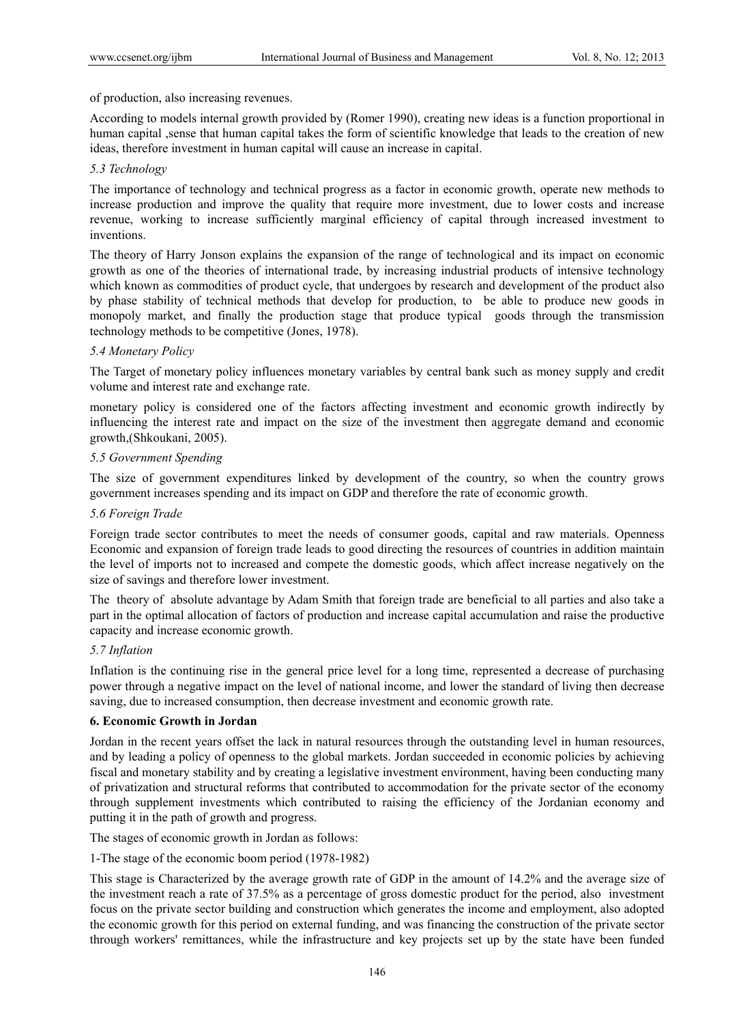of production, also increasing revenues.

According to models internal growth provided by (Romer 1990), creating new ideas is a function proportional in human capital ,sense that human capital takes the form of scientific knowledge that leads to the creation of new ideas, therefore investment in human capital will cause an increase in capital.

#### *5.3 Technology*

The importance of technology and technical progress as a factor in economic growth, operate new methods to increase production and improve the quality that require more investment, due to lower costs and increase revenue, working to increase sufficiently marginal efficiency of capital through increased investment to inventions.

The theory of Harry Jonson explains the expansion of the range of technological and its impact on economic growth as one of the theories of international trade, by increasing industrial products of intensive technology which known as commodities of product cycle, that undergoes by research and development of the product also by phase stability of technical methods that develop for production, to be able to produce new goods in monopoly market, and finally the production stage that produce typical goods through the transmission technology methods to be competitive (Jones, 1978).

# *5.4 Monetary Policy*

The Target of monetary policy influences monetary variables by central bank such as money supply and credit volume and interest rate and exchange rate.

monetary policy is considered one of the factors affecting investment and economic growth indirectly by influencing the interest rate and impact on the size of the investment then aggregate demand and economic growth,(Shkoukani, 2005).

#### *5.5 Government Spending*

The size of government expenditures linked by development of the country, so when the country grows government increases spending and its impact on GDP and therefore the rate of economic growth.

#### *5.6 Foreign Trade*

Foreign trade sector contributes to meet the needs of consumer goods, capital and raw materials. Openness Economic and expansion of foreign trade leads to good directing the resources of countries in addition maintain the level of imports not to increased and compete the domestic goods, which affect increase negatively on the size of savings and therefore lower investment.

The theory of absolute advantage by Adam Smith that foreign trade are beneficial to all parties and also take a part in the optimal allocation of factors of production and increase capital accumulation and raise the productive capacity and increase economic growth.

#### *5.7 Inflation*

Inflation is the continuing rise in the general price level for a long time, represented a decrease of purchasing power through a negative impact on the level of national income, and lower the standard of living then decrease saving, due to increased consumption, then decrease investment and economic growth rate.

#### **6. Economic Growth in Jordan**

Jordan in the recent years offset the lack in natural resources through the outstanding level in human resources, and by leading a policy of openness to the global markets. Jordan succeeded in economic policies by achieving fiscal and monetary stability and by creating a legislative investment environment, having been conducting many of privatization and structural reforms that contributed to accommodation for the private sector of the economy through supplement investments which contributed to raising the efficiency of the Jordanian economy and putting it in the path of growth and progress.

The stages of economic growth in Jordan as follows:

1-The stage of the economic boom period (1978-1982)

This stage is Characterized by the average growth rate of GDP in the amount of 14.2% and the average size of the investment reach a rate of 37.5% as a percentage of gross domestic product for the period, also investment focus on the private sector building and construction which generates the income and employment, also adopted the economic growth for this period on external funding, and was financing the construction of the private sector through workers' remittances, while the infrastructure and key projects set up by the state have been funded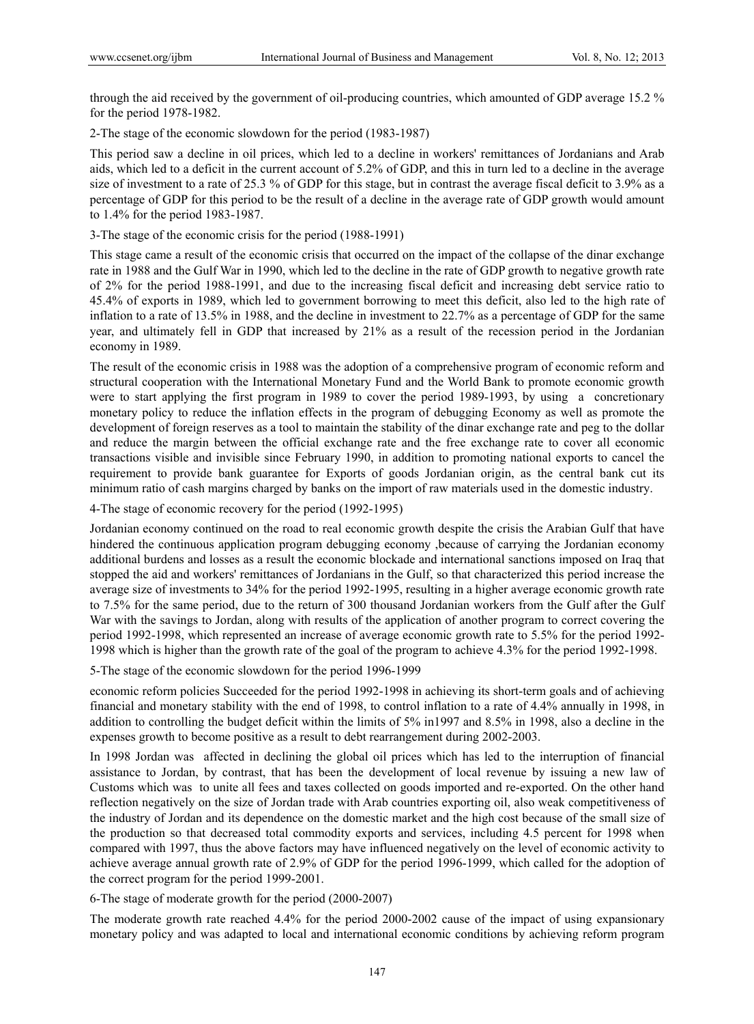through the aid received by the government of oil-producing countries, which amounted of GDP average 15.2 % for the period 1978-1982.

2-The stage of the economic slowdown for the period (1983-1987)

This period saw a decline in oil prices, which led to a decline in workers' remittances of Jordanians and Arab aids, which led to a deficit in the current account of 5.2% of GDP, and this in turn led to a decline in the average size of investment to a rate of 25.3 % of GDP for this stage, but in contrast the average fiscal deficit to 3.9% as a percentage of GDP for this period to be the result of a decline in the average rate of GDP growth would amount to 1.4% for the period 1983-1987.

3-The stage of the economic crisis for the period (1988-1991)

This stage came a result of the economic crisis that occurred on the impact of the collapse of the dinar exchange rate in 1988 and the Gulf War in 1990, which led to the decline in the rate of GDP growth to negative growth rate of 2% for the period 1988-1991, and due to the increasing fiscal deficit and increasing debt service ratio to 45.4% of exports in 1989, which led to government borrowing to meet this deficit, also led to the high rate of inflation to a rate of 13.5% in 1988, and the decline in investment to 22.7% as a percentage of GDP for the same year, and ultimately fell in GDP that increased by 21% as a result of the recession period in the Jordanian economy in 1989.

The result of the economic crisis in 1988 was the adoption of a comprehensive program of economic reform and structural cooperation with the International Monetary Fund and the World Bank to promote economic growth were to start applying the first program in 1989 to cover the period 1989-1993, by using a concretionary monetary policy to reduce the inflation effects in the program of debugging Economy as well as promote the development of foreign reserves as a tool to maintain the stability of the dinar exchange rate and peg to the dollar and reduce the margin between the official exchange rate and the free exchange rate to cover all economic transactions visible and invisible since February 1990, in addition to promoting national exports to cancel the requirement to provide bank guarantee for Exports of goods Jordanian origin, as the central bank cut its minimum ratio of cash margins charged by banks on the import of raw materials used in the domestic industry.

4-The stage of economic recovery for the period (1992-1995)

Jordanian economy continued on the road to real economic growth despite the crisis the Arabian Gulf that have hindered the continuous application program debugging economy ,because of carrying the Jordanian economy additional burdens and losses as a result the economic blockade and international sanctions imposed on Iraq that stopped the aid and workers' remittances of Jordanians in the Gulf, so that characterized this period increase the average size of investments to 34% for the period 1992-1995, resulting in a higher average economic growth rate to 7.5% for the same period, due to the return of 300 thousand Jordanian workers from the Gulf after the Gulf War with the savings to Jordan, along with results of the application of another program to correct covering the period 1992-1998, which represented an increase of average economic growth rate to 5.5% for the period 1992- 1998 which is higher than the growth rate of the goal of the program to achieve 4.3% for the period 1992-1998.

5-The stage of the economic slowdown for the period 1996-1999

economic reform policies Succeeded for the period 1992-1998 in achieving its short-term goals and of achieving financial and monetary stability with the end of 1998, to control inflation to a rate of 4.4% annually in 1998, in addition to controlling the budget deficit within the limits of 5% in1997 and 8.5% in 1998, also a decline in the expenses growth to become positive as a result to debt rearrangement during 2002-2003.

In 1998 Jordan was affected in declining the global oil prices which has led to the interruption of financial assistance to Jordan, by contrast, that has been the development of local revenue by issuing a new law of Customs which was to unite all fees and taxes collected on goods imported and re-exported. On the other hand reflection negatively on the size of Jordan trade with Arab countries exporting oil, also weak competitiveness of the industry of Jordan and its dependence on the domestic market and the high cost because of the small size of the production so that decreased total commodity exports and services, including 4.5 percent for 1998 when compared with 1997, thus the above factors may have influenced negatively on the level of economic activity to achieve average annual growth rate of 2.9% of GDP for the period 1996-1999, which called for the adoption of the correct program for the period 1999-2001.

6-The stage of moderate growth for the period (2000-2007)

The moderate growth rate reached 4.4% for the period 2000-2002 cause of the impact of using expansionary monetary policy and was adapted to local and international economic conditions by achieving reform program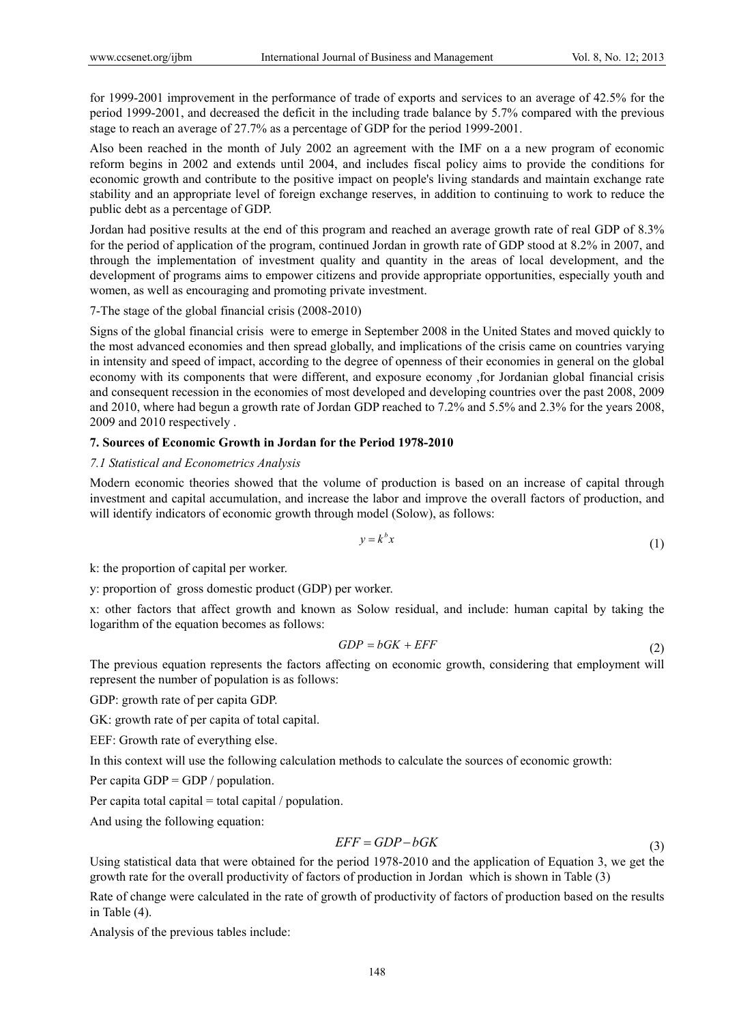for 1999-2001 improvement in the performance of trade of exports and services to an average of 42.5% for the period 1999-2001, and decreased the deficit in the including trade balance by 5.7% compared with the previous stage to reach an average of 27.7% as a percentage of GDP for the period 1999-2001.

Also been reached in the month of July 2002 an agreement with the IMF on a a new program of economic reform begins in 2002 and extends until 2004, and includes fiscal policy aims to provide the conditions for economic growth and contribute to the positive impact on people's living standards and maintain exchange rate stability and an appropriate level of foreign exchange reserves, in addition to continuing to work to reduce the public debt as a percentage of GDP.

Jordan had positive results at the end of this program and reached an average growth rate of real GDP of 8.3% for the period of application of the program, continued Jordan in growth rate of GDP stood at 8.2% in 2007, and through the implementation of investment quality and quantity in the areas of local development, and the development of programs aims to empower citizens and provide appropriate opportunities, especially youth and women, as well as encouraging and promoting private investment.

7-The stage of the global financial crisis (2008-2010)

Signs of the global financial crisis were to emerge in September 2008 in the United States and moved quickly to the most advanced economies and then spread globally, and implications of the crisis came on countries varying in intensity and speed of impact, according to the degree of openness of their economies in general on the global economy with its components that were different, and exposure economy ,for Jordanian global financial crisis and consequent recession in the economies of most developed and developing countries over the past 2008, 2009 and 2010, where had begun a growth rate of Jordan GDP reached to 7.2% and 5.5% and 2.3% for the years 2008, 2009 and 2010 respectively .

# **7. Sources of Economic Growth in Jordan for the Period 1978-2010**

#### *7.1 Statistical and Econometrics Analysis*

Modern economic theories showed that the volume of production is based on an increase of capital through investment and capital accumulation, and increase the labor and improve the overall factors of production, and will identify indicators of economic growth through model (Solow), as follows:

$$
y = k^b x \tag{1}
$$

k: the proportion of capital per worker.

y: proportion of gross domestic product (GDP) per worker.

x: other factors that affect growth and known as Solow residual, and include: human capital by taking the logarithm of the equation becomes as follows:

$$
GDP = bGK + EFF \tag{2}
$$

The previous equation represents the factors affecting on economic growth, considering that employment will represent the number of population is as follows:

GDP: growth rate of per capita GDP.

GK: growth rate of per capita of total capital.

EEF: Growth rate of everything else.

In this context will use the following calculation methods to calculate the sources of economic growth:

Per capita  $GDP = GDP / population$ .

Per capita total capital  $=$  total capital  $/$  population.

And using the following equation:

$$
EFF = GDP - bGK \tag{3}
$$

Using statistical data that were obtained for the period 1978-2010 and the application of Equation 3, we get the growth rate for the overall productivity of factors of production in Jordan which is shown in Table (3)

Rate of change were calculated in the rate of growth of productivity of factors of production based on the results in Table (4).

Analysis of the previous tables include: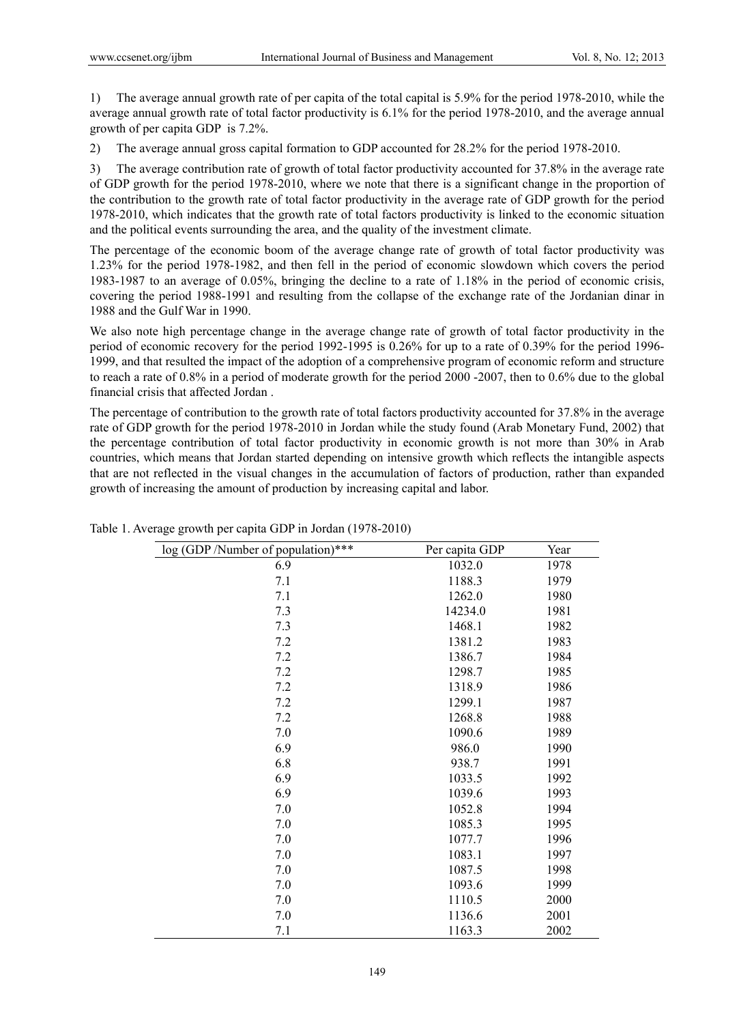1) The average annual growth rate of per capita of the total capital is 5.9% for the period 1978-2010, while the average annual growth rate of total factor productivity is 6.1% for the period 1978-2010, and the average annual growth of per capita GDP is 7.2%.

2) The average annual gross capital formation to GDP accounted for 28.2% for the period 1978-2010.

3) The average contribution rate of growth of total factor productivity accounted for 37.8% in the average rate of GDP growth for the period 1978-2010, where we note that there is a significant change in the proportion of the contribution to the growth rate of total factor productivity in the average rate of GDP growth for the period 1978-2010, which indicates that the growth rate of total factors productivity is linked to the economic situation and the political events surrounding the area, and the quality of the investment climate.

The percentage of the economic boom of the average change rate of growth of total factor productivity was 1.23% for the period 1978-1982, and then fell in the period of economic slowdown which covers the period 1983-1987 to an average of 0.05%, bringing the decline to a rate of 1.18% in the period of economic crisis, covering the period 1988-1991 and resulting from the collapse of the exchange rate of the Jordanian dinar in 1988 and the Gulf War in 1990.

We also note high percentage change in the average change rate of growth of total factor productivity in the period of economic recovery for the period 1992-1995 is 0.26% for up to a rate of 0.39% for the period 1996- 1999, and that resulted the impact of the adoption of a comprehensive program of economic reform and structure to reach a rate of 0.8% in a period of moderate growth for the period 2000 -2007, then to 0.6% due to the global financial crisis that affected Jordan .

The percentage of contribution to the growth rate of total factors productivity accounted for 37.8% in the average rate of GDP growth for the period 1978-2010 in Jordan while the study found (Arab Monetary Fund, 2002) that the percentage contribution of total factor productivity in economic growth is not more than 30% in Arab countries, which means that Jordan started depending on intensive growth which reflects the intangible aspects that are not reflected in the visual changes in the accumulation of factors of production, rather than expanded growth of increasing the amount of production by increasing capital and labor.

| log (GDP /Number of population)*** | Per capita GDP | Year |
|------------------------------------|----------------|------|
| 6.9                                | 1032.0         | 1978 |
| 7.1                                | 1188.3         | 1979 |
| 7.1                                | 1262.0         | 1980 |
| 7.3                                | 14234.0        | 1981 |
| 7.3                                | 1468.1         | 1982 |
| 7.2                                | 1381.2         | 1983 |
| 7.2                                | 1386.7         | 1984 |
| 7.2                                | 1298.7         | 1985 |
| 7.2                                | 1318.9         | 1986 |
| 7.2                                | 1299.1         | 1987 |
| 7.2                                | 1268.8         | 1988 |
| 7.0                                | 1090.6         | 1989 |
| 6.9                                | 986.0          | 1990 |
| 6.8                                | 938.7          | 1991 |
| 6.9                                | 1033.5         | 1992 |
| 6.9                                | 1039.6         | 1993 |
| 7.0                                | 1052.8         | 1994 |
| 7.0                                | 1085.3         | 1995 |
| 7.0                                | 1077.7         | 1996 |
| 7.0                                | 1083.1         | 1997 |
| 7.0                                | 1087.5         | 1998 |
| 7.0                                | 1093.6         | 1999 |
| 7.0                                | 1110.5         | 2000 |
| 7.0                                | 1136.6         | 2001 |
| 7.1                                | 1163.3         | 2002 |

Table 1. Average growth per capita GDP in Jordan (1978-2010)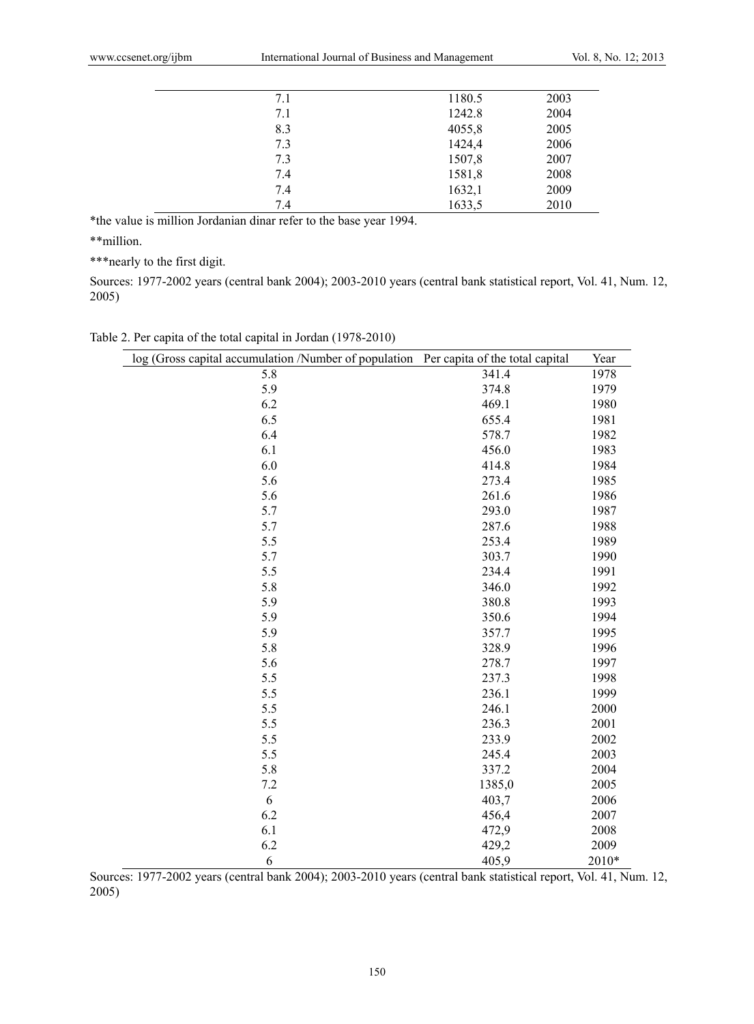| 7.1 | 1180.5 | 2003 |
|-----|--------|------|
| 7.1 | 1242.8 | 2004 |
| 8.3 | 4055,8 | 2005 |
| 7.3 | 1424,4 | 2006 |
| 7.3 | 1507,8 | 2007 |
| 7.4 | 1581,8 | 2008 |
| 7.4 | 1632,1 | 2009 |
| 7.4 | 1633,5 | 2010 |

\*the value is million Jordanian dinar refer to the base year 1994.

\*\*million.

\*\*\*nearly to the first digit.

Sources: 1977-2002 years (central bank 2004); 2003-2010 years (central bank statistical report, Vol. 41, Num. 12, 2005)

|  |  | Table 2. Per capita of the total capital in Jordan (1978-2010) |
|--|--|----------------------------------------------------------------|
|  |  |                                                                |

| log (Gross capital accumulation /Number of population Per capita of the total capital |        | Year  |
|---------------------------------------------------------------------------------------|--------|-------|
| 5.8                                                                                   | 341.4  | 1978  |
| 5.9                                                                                   | 374.8  | 1979  |
| 6.2                                                                                   | 469.1  | 1980  |
| 6.5                                                                                   | 655.4  | 1981  |
| 6.4                                                                                   | 578.7  | 1982  |
| 6.1                                                                                   | 456.0  | 1983  |
| 6.0                                                                                   | 414.8  | 1984  |
| 5.6                                                                                   | 273.4  | 1985  |
| 5.6                                                                                   | 261.6  | 1986  |
| 5.7                                                                                   | 293.0  | 1987  |
| 5.7                                                                                   | 287.6  | 1988  |
| 5.5                                                                                   | 253.4  | 1989  |
| 5.7                                                                                   | 303.7  | 1990  |
| 5.5                                                                                   | 234.4  | 1991  |
| 5.8                                                                                   | 346.0  | 1992  |
| 5.9                                                                                   | 380.8  | 1993  |
| 5.9                                                                                   | 350.6  | 1994  |
| 5.9                                                                                   | 357.7  | 1995  |
| 5.8                                                                                   | 328.9  | 1996  |
| 5.6                                                                                   | 278.7  | 1997  |
| 5.5                                                                                   | 237.3  | 1998  |
| 5.5                                                                                   | 236.1  | 1999  |
| 5.5                                                                                   | 246.1  | 2000  |
| 5.5                                                                                   | 236.3  | 2001  |
| 5.5                                                                                   | 233.9  | 2002  |
| 5.5                                                                                   | 245.4  | 2003  |
| 5.8                                                                                   | 337.2  | 2004  |
| 7.2                                                                                   | 1385,0 | 2005  |
| 6                                                                                     | 403,7  | 2006  |
| 6.2                                                                                   | 456,4  | 2007  |
| 6.1                                                                                   | 472,9  | 2008  |
| 6.2                                                                                   | 429,2  | 2009  |
| 6                                                                                     | 405,9  | 2010* |

Sources: 1977-2002 years (central bank 2004); 2003-2010 years (central bank statistical report, Vol. 41, Num. 12, 2005)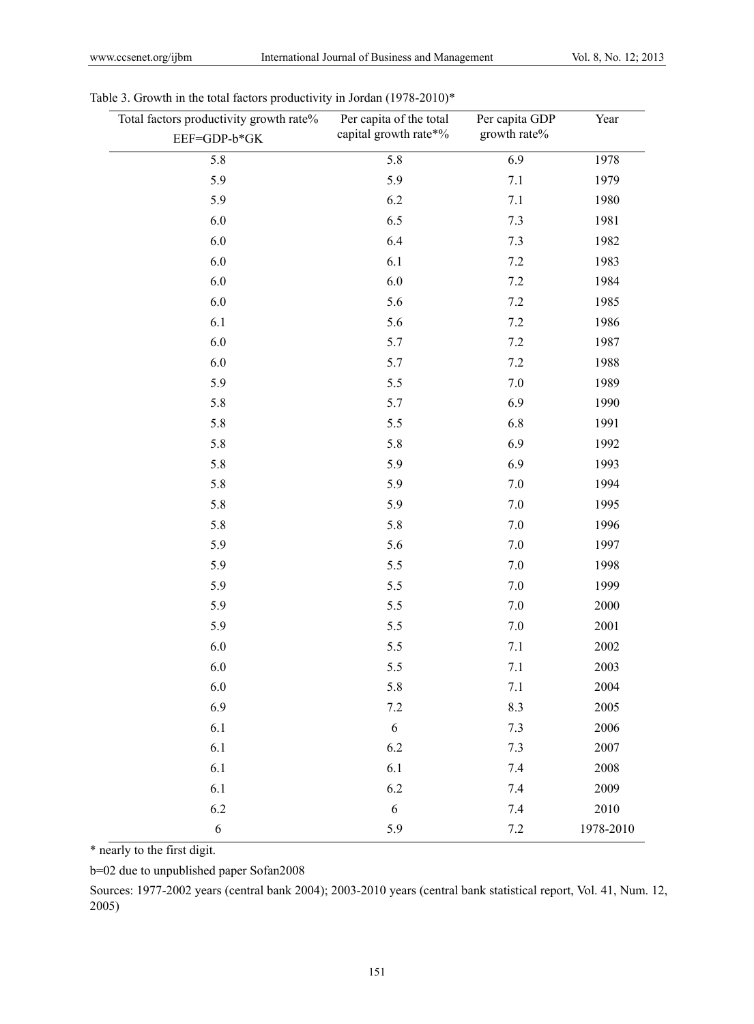| Total factors productivity growth rate%<br>EEF=GDP-b*GK | Per capita of the total<br>capital growth rate*% | Per capita GDP<br>growth rate% | Year      |
|---------------------------------------------------------|--------------------------------------------------|--------------------------------|-----------|
| 5.8                                                     | 5.8                                              | 6.9                            | 1978      |
| 5.9                                                     | 5.9                                              | 7.1                            | 1979      |
| 5.9                                                     | 6.2                                              | 7.1                            | 1980      |
| 6.0                                                     | 6.5                                              | 7.3                            | 1981      |
| 6.0                                                     | 6.4                                              | 7.3                            | 1982      |
| 6.0                                                     | 6.1                                              | 7.2                            | 1983      |
| 6.0                                                     | 6.0                                              | 7.2                            | 1984      |
| 6.0                                                     | 5.6                                              | $7.2\,$                        | 1985      |
| 6.1                                                     | 5.6                                              | 7.2                            | 1986      |
| 6.0                                                     | 5.7                                              | 7.2                            | 1987      |
| 6.0                                                     | 5.7                                              | 7.2                            | 1988      |
| 5.9                                                     | 5.5                                              | $7.0\,$                        | 1989      |
| 5.8                                                     | 5.7                                              | 6.9                            | 1990      |
| 5.8                                                     | 5.5                                              | 6.8                            | 1991      |
| 5.8                                                     | 5.8                                              | 6.9                            | 1992      |
| 5.8                                                     | 5.9                                              | 6.9                            | 1993      |
| 5.8                                                     | 5.9                                              | $7.0\,$                        | 1994      |
| 5.8                                                     | 5.9                                              | 7.0                            | 1995      |
| 5.8                                                     | 5.8                                              | 7.0                            | 1996      |
| 5.9                                                     | 5.6                                              | $7.0\,$                        | 1997      |
| 5.9                                                     | 5.5                                              | 7.0                            | 1998      |
| 5.9                                                     | 5.5                                              | 7.0                            | 1999      |
| 5.9                                                     | 5.5                                              | $7.0\,$                        | 2000      |
| 5.9                                                     | 5.5                                              | 7.0                            | 2001      |
| 6.0                                                     | 5.5                                              | 7.1                            | 2002      |
| 6.0                                                     | 5.5                                              | 7.1                            | 2003      |
| 6.0                                                     | 5.8                                              | 7.1                            | 2004      |
| 6.9                                                     | 7.2                                              | 8.3                            | 2005      |
| 6.1                                                     | $\boldsymbol{6}$                                 | 7.3                            | 2006      |
| 6.1                                                     | 6.2                                              | 7.3                            | 2007      |
| 6.1                                                     | 6.1                                              | 7.4                            | 2008      |
| 6.1                                                     | 6.2                                              | 7.4                            | 2009      |
| 6.2                                                     | $\sqrt{6}$                                       | 7.4                            | 2010      |
| $\sqrt{6}$                                              | 5.9                                              | 7.2                            | 1978-2010 |

# Table 3. Growth in the total factors productivity in Jordan (1978-2010)\*

\* nearly to the first digit.

b=02 due to unpublished paper Sofan2008

Sources: 1977-2002 years (central bank 2004); 2003-2010 years (central bank statistical report, Vol. 41, Num. 12, 2005)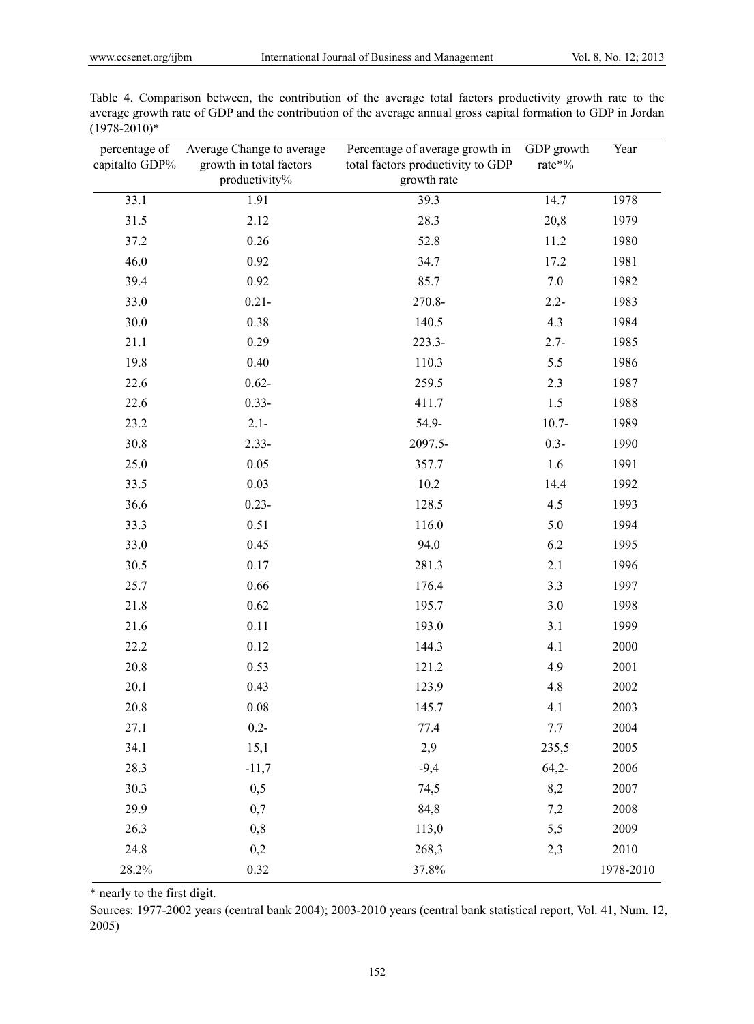| percentage of<br>capitalto GDP% | Average Change to average<br>growth in total factors<br>productivity% | Percentage of average growth in<br>total factors productivity to GDP<br>growth rate | GDP growth<br>rate*% | Year      |
|---------------------------------|-----------------------------------------------------------------------|-------------------------------------------------------------------------------------|----------------------|-----------|
| 33.1                            | 1.91                                                                  | 39.3                                                                                | 14.7                 | 1978      |
| 31.5                            | 2.12                                                                  | 28.3                                                                                | 20,8                 | 1979      |
| 37.2                            | 0.26                                                                  | 52.8                                                                                | 11.2                 | 1980      |
| 46.0                            | 0.92                                                                  | 34.7                                                                                | 17.2                 | 1981      |
| 39.4                            | 0.92                                                                  | 85.7                                                                                | $7.0\,$              | 1982      |
| 33.0                            | $0.21 -$                                                              | 270.8-                                                                              | $2.2 -$              | 1983      |
| 30.0                            | 0.38                                                                  | 140.5                                                                               | 4.3                  | 1984      |
| 21.1                            | 0.29                                                                  | $223.3 -$                                                                           | $2.7 -$              | 1985      |
| 19.8                            | 0.40                                                                  | 110.3                                                                               | 5.5                  | 1986      |
| 22.6                            | $0.62 -$                                                              | 259.5                                                                               | 2.3                  | 1987      |
| 22.6                            | $0.33 -$                                                              | 411.7                                                                               | 1.5                  | 1988      |
| 23.2                            | $2.1 -$                                                               | 54.9-                                                                               | $10.7 -$             | 1989      |
| 30.8                            | $2.33 -$                                                              | 2097.5-                                                                             | $0.3 -$              | 1990      |
| 25.0                            | 0.05                                                                  | 357.7                                                                               | 1.6                  | 1991      |
| 33.5                            | 0.03                                                                  | 10.2                                                                                | 14.4                 | 1992      |
| 36.6                            | $0.23 -$                                                              | 128.5                                                                               | 4.5                  | 1993      |
| 33.3                            | 0.51                                                                  | 116.0                                                                               | 5.0                  | 1994      |
| 33.0                            | 0.45                                                                  | 94.0                                                                                | 6.2                  | 1995      |
| 30.5                            | 0.17                                                                  | 281.3                                                                               | 2.1                  | 1996      |
| 25.7                            | 0.66                                                                  | 176.4                                                                               | 3.3                  | 1997      |
| 21.8                            | 0.62                                                                  | 195.7                                                                               | 3.0                  | 1998      |
| 21.6                            | 0.11                                                                  | 193.0                                                                               | 3.1                  | 1999      |
| 22.2                            | 0.12                                                                  | 144.3                                                                               | 4.1                  | 2000      |
| 20.8                            | 0.53                                                                  | 121.2                                                                               | 4.9                  | 2001      |
| 20.1                            | 0.43                                                                  | 123.9                                                                               | 4.8                  | 2002      |
| $20.8\,$                        | 0.08                                                                  | 145.7                                                                               | 4.1                  | 2003      |
| 27.1                            | $0.2 -$                                                               | 77.4                                                                                | 7.7                  | 2004      |
| 34.1                            | 15,1                                                                  | 2,9                                                                                 | 235,5                | 2005      |
| 28.3                            | $-11,7$                                                               | $-9,4$                                                                              | $64,2-$              | 2006      |
| 30.3                            | 0,5                                                                   | 74,5                                                                                | 8,2                  | 2007      |
| 29.9                            | 0,7                                                                   | 84,8                                                                                | 7,2                  | 2008      |
| 26.3                            | 0,8                                                                   | 113,0                                                                               | 5,5                  | 2009      |
| 24.8                            | 0,2                                                                   | 268,3                                                                               | 2,3                  | 2010      |
| 28.2%                           | 0.32                                                                  | 37.8%                                                                               |                      | 1978-2010 |

Table 4. Comparison between, the contribution of the average total factors productivity growth rate to the average growth rate of GDP and the contribution of the average annual gross capital formation to GDP in Jordan  $(1978-2010)*$ 

\* nearly to the first digit.

Sources: 1977-2002 years (central bank 2004); 2003-2010 years (central bank statistical report, Vol. 41, Num. 12, 2005)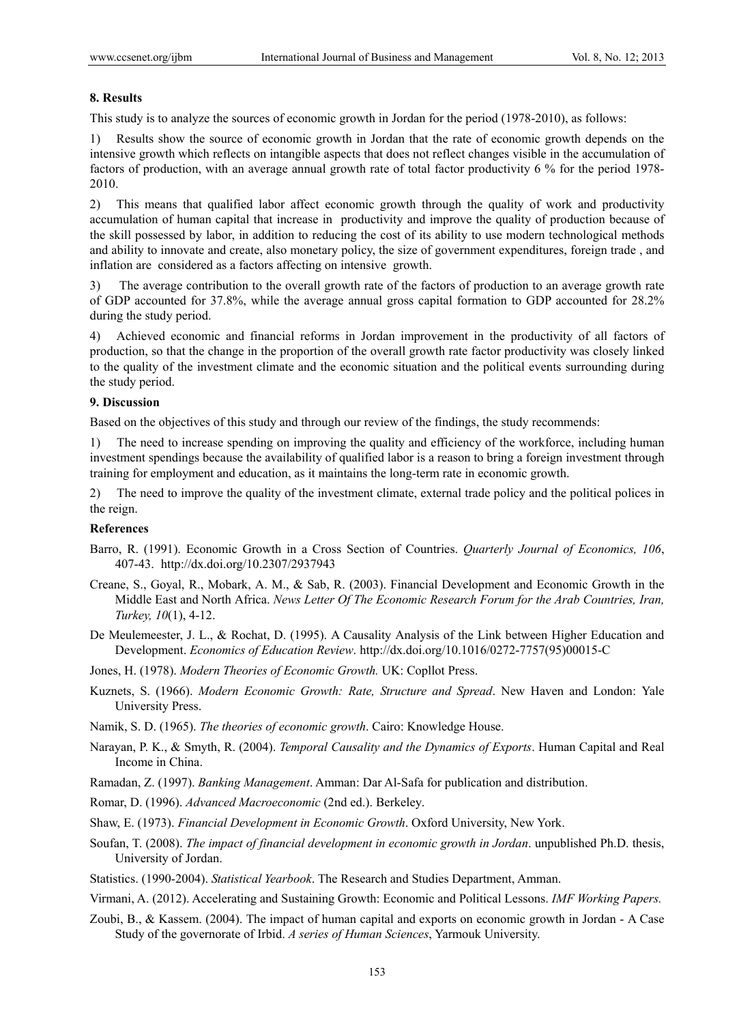#### **8. Results**

This study is to analyze the sources of economic growth in Jordan for the period (1978-2010), as follows:

1) Results show the source of economic growth in Jordan that the rate of economic growth depends on the intensive growth which reflects on intangible aspects that does not reflect changes visible in the accumulation of factors of production, with an average annual growth rate of total factor productivity 6 % for the period 1978- 2010.

2) This means that qualified labor affect economic growth through the quality of work and productivity accumulation of human capital that increase in productivity and improve the quality of production because of the skill possessed by labor, in addition to reducing the cost of its ability to use modern technological methods and ability to innovate and create, also monetary policy, the size of government expenditures, foreign trade , and inflation are considered as a factors affecting on intensive growth.

3) The average contribution to the overall growth rate of the factors of production to an average growth rate of GDP accounted for 37.8%, while the average annual gross capital formation to GDP accounted for 28.2% during the study period.

4) Achieved economic and financial reforms in Jordan improvement in the productivity of all factors of production, so that the change in the proportion of the overall growth rate factor productivity was closely linked to the quality of the investment climate and the economic situation and the political events surrounding during the study period.

# **9. Discussion**

Based on the objectives of this study and through our review of the findings, the study recommends:

1) The need to increase spending on improving the quality and efficiency of the workforce, including human investment spendings because the availability of qualified labor is a reason to bring a foreign investment through training for employment and education, as it maintains the long-term rate in economic growth.

2) The need to improve the quality of the investment climate, external trade policy and the political polices in the reign.

#### **References**

- Barro, R. (1991). Economic Growth in a Cross Section of Countries. *Quarterly Journal of Economics, 106*, 407-43. http://dx.doi.org/10.2307/2937943
- Creane, S., Goyal, R., Mobark, A. M., & Sab, R. (2003). Financial Development and Economic Growth in the Middle East and North Africa. *News Letter Of The Economic Research Forum for the Arab Countries, Iran, Turkey, 10*(1), 4-12.
- De Meulemeester, J. L., & Rochat, D. (1995). A Causality Analysis of the Link between Higher Education and Development. *Economics of Education Review*. http://dx.doi.org/10.1016/0272-7757(95)00015-C
- Jones, H. (1978). *Modern Theories of Economic Growth.* UK: Copllot Press.
- Kuznets, S. (1966). *Modern Economic Growth: Rate, Structure and Spread*. New Haven and London: Yale University Press.
- Namik, S. D. (1965). *The theories of economic growth*. Cairo: Knowledge House.
- Narayan, P. K., & Smyth, R. (2004). *Temporal Causality and the Dynamics of Exports*. Human Capital and Real Income in China.
- Ramadan, Z. (1997). *Banking Management*. Amman: Dar Al-Safa for publication and distribution.
- Romar, D. (1996). *Advanced Macroeconomic* (2nd ed.). Berkeley.
- Shaw, E. (1973). *Financial Development in Economic Growth*. Oxford University, New York.
- Soufan, T. (2008). *The impact of financial development in economic growth in Jordan*. unpublished Ph.D. thesis, University of Jordan.
- Statistics. (1990-2004). *Statistical Yearbook*. The Research and Studies Department, Amman.
- Virmani, A. (2012). Accelerating and Sustaining Growth: Economic and Political Lessons. *IMF Working Papers.*
- Zoubi, B., & Kassem. (2004). The impact of human capital and exports on economic growth in Jordan A Case Study of the governorate of Irbid. *A series of Human Sciences*, Yarmouk University.